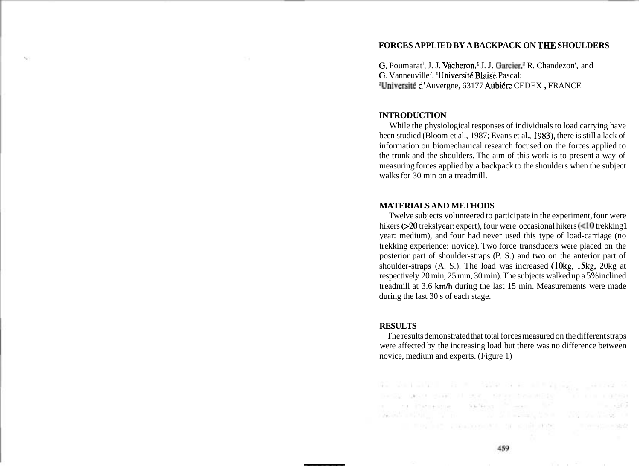### **FORCES APPLIED BY A BACKPACK ON TNE SHOULDERS**

G. Poumarat<sup>1</sup>, J. J. Vacheron,<sup>1</sup> J. J. Garcier,<sup>1</sup> R. Chandezon', and G. Vanneuville<sup>2</sup>, <sup>1</sup>Université Blaise Pascal; <sup>2</sup>Université d'Auvergne, 63177 Aubiére CEDEX, FRANCE

#### **INTRODUCTION**

While the physiological responses of individuals to load carrying have been studied (Bloom et al., 1987; Evans et al., 1983), there is still a lack of information on biomechanical research focused on the forces applied to the trunk and the shoulders. The aim of this work is to present a way of measuring forces applied by a backpack to the shoulders when the subject walks for 30 min on a treadmill.

## **MATERIALS AND METHODS**

Twelve subjects volunteered to participate in the experiment, four were hikers (>20 trekslyear: expert), four were occasional hikers (<10 trekking1 year: medium), and four had never used this type of load-carriage (no trekking experience: novice). Two force transducers were placed on the posterior part of shoulder-straps (P. S.) and two on the anterior part of shoulder-straps (A. S.). The load was increased (10kg, 15kg, 20kg at respectively 20 min, 25 min, 30 min). The subjects walked up a 5% inclined treadmill at 3.6 km/h during the last 15 min. Measurements were made during the last 30 s of each stage.

# **RESULTS**

The results demonstrated that total forces measured on the different straps were affected by the increasing load but there was no difference between novice, medium and experts. (Figure 1)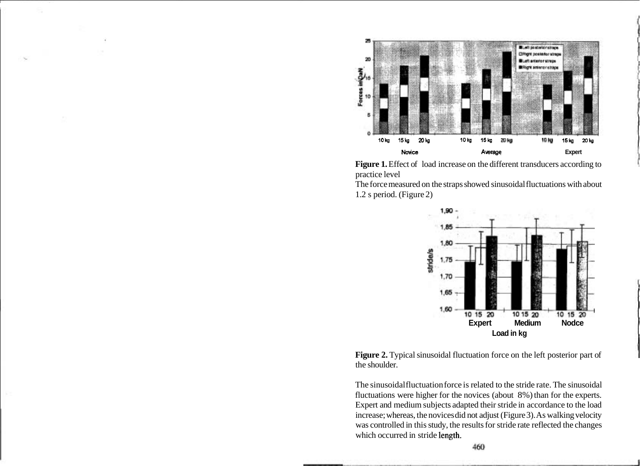



The force measured on the straps showed sinusoidal fluctuations with about 1.2 s period. (Figure 2)





The sinusoidal fluctuation force is related to the stride rate. The sinusoidal fluctuations were higher for the novices (about 8%) than for the experts. Expert and medium subjects adapted their stride in accordance to the load increase; whereas, the novices did not adjust (Figure 3). As walking velocity was controlled in this study, the results for stride rate reflected the changes which occurred in stride length.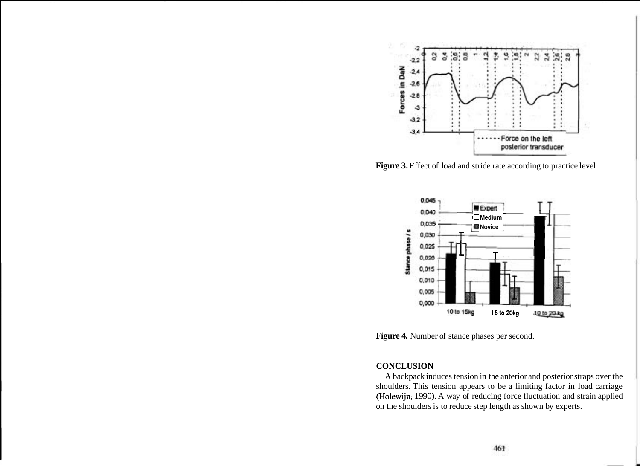

Figure 3. Effect of load and stride rate according to practice level



**Figure 4.** Number of stance phases per second.

### **CONCLUSION**

A backpack induces tension in the anterior and posterior straps over the shoulders. This tension appears to be a limiting factor in load carriage (Holewijn, 1990). A way of reducing force fluctuation and strain applied on the shoulders is to reduce step length as shown by experts.